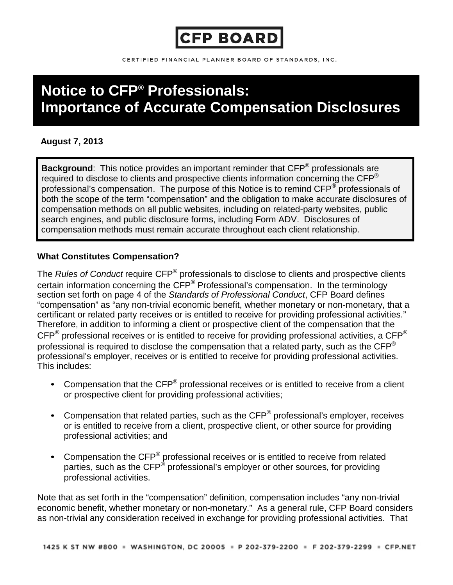

CERTIFIED FINANCIAL PLANNER BOARD OF STANDARDS, INC.

# **Notice to CFP® Professionals: Importance of Accurate Compensation Disclosures**

## **August 7, 2013**

**Background**: This notice provides an important reminder that CFP® professionals are required to disclose to clients and prospective clients information concerning the  $\text{CFP}^{\otimes}$ professional's compensation. The purpose of this Notice is to remind CFP<sup>®</sup> professionals of both the scope of the term "compensation" and the obligation to make accurate disclosures of compensation methods on all public websites, including on related-party websites, public search engines, and public disclosure forms, including Form ADV. Disclosures of compensation methods must remain accurate throughout each client relationship.

## **What Constitutes Compensation?**

The *Rules of Conduct* require CFP® professionals to disclose to clients and prospective clients certain information concerning the CFP® Professional's compensation. In the terminology section set forth on page 4 of the *Standards of Professional Conduct*, CFP Board defines "compensation" as "any non-trivial economic benefit, whether monetary or non-monetary, that a certificant or related party receives or is entitled to receive for providing professional activities." Therefore, in addition to informing a client or prospective client of the compensation that the  $\text{CFP}^{\circledast}$  professional receives or is entitled to receive for providing professional activities, a CFP<sup>®</sup> professional is required to disclose the compensation that a related party, such as the CFP<sup>®</sup> professional's employer, receives or is entitled to receive for providing professional activities. This includes:

- Compensation that the CFP<sup>®</sup> professional receives or is entitled to receive from a client or prospective client for providing professional activities;
- Compensation that related parties, such as the CFP<sup>®</sup> professional's employer, receives or is entitled to receive from a client, prospective client, or other source for providing professional activities; and
- Compensation the CFP<sup>®</sup> professional receives or is entitled to receive from related parties, such as the CFP<sup>®</sup> professional's employer or other sources, for providing professional activities.

Note that as set forth in the "compensation" definition, compensation includes "any non-trivial economic benefit, whether monetary or non-monetary." As a general rule, CFP Board considers as non-trivial any consideration received in exchange for providing professional activities. That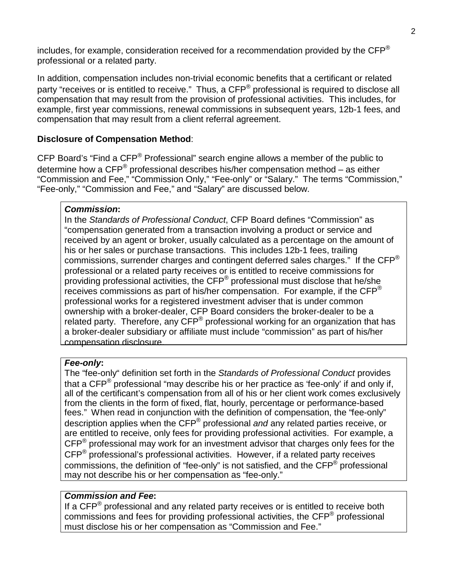includes, for example, consideration received for a recommendation provided by the  $\mathsf{CFP}^{\otimes}$ professional or a related party.

In addition, compensation includes non-trivial economic benefits that a certificant or related party "receives or is entitled to receive." Thus, a CFP<sup>®</sup> professional is required to disclose all compensation that may result from the provision of professional activities. This includes, for example, first year commissions, renewal commissions in subsequent years, 12b-1 fees, and compensation that may result from a client referral agreement.

## **Disclosure of Compensation Method**:

CFP Board's "Find a CFP® Professional" search engine allows a member of the public to determine how a  $\text{CFP}^{\textcircled{e}}$  professional describes his/her compensation method – as either "Commission and Fee," "Commission Only," "Fee-only" or "Salary." The terms "Commission," "Fee-only," "Commission and Fee," and "Salary" are discussed below.

#### *Commission***:**

In the *Standards of Professional Conduct*, CFP Board defines "Commission" as "compensation generated from a transaction involving a product or service and received by an agent or broker, usually calculated as a percentage on the amount of his or her sales or purchase transactions. This includes 12b-1 fees, trailing commissions, surrender charges and contingent deferred sales charges." If the CFP® professional or a related party receives or is entitled to receive commissions for providing professional activities, the CFP® professional must disclose that he/she receives commissions as part of his/her compensation. For example, if the CFP® professional works for a registered investment adviser that is under common ownership with a broker-dealer, CFP Board considers the broker-dealer to be a related party. Therefore, any CFP<sup>®</sup> professional working for an organization that has a broker-dealer subsidiary or affiliate must include "commission" as part of his/her compensation disclosure.

#### *Fee-only***:**

The "fee-only" definition set forth in the *Standards of Professional Conduct* provides that a  $\text{CFP}^{\circledast}$  professional "may describe his or her practice as 'fee-only' if and only if, all of the certificant's compensation from all of his or her client work comes exclusively from the clients in the form of fixed, flat, hourly, percentage or performance-based fees." When read in conjunction with the definition of compensation, the "fee-only" description applies when the CFP® professional *and* any related parties receive, or are entitled to receive, only fees for providing professional activities. For example, a CFP® professional may work for an investment advisor that charges only fees for the CFP® professional's professional activities. However, if a related party receives commissions, the definition of "fee-only" is not satisfied, and the CFP® professional may not describe his or her compensation as "fee-only."

### *Commission and Fee***:**

If a  $\text{CFP}^{\circledast}$  professional and any related party receives or is entitled to receive both commissions and fees for providing professional activities, the CFP® professional must disclose his or her compensation as "Commission and Fee."